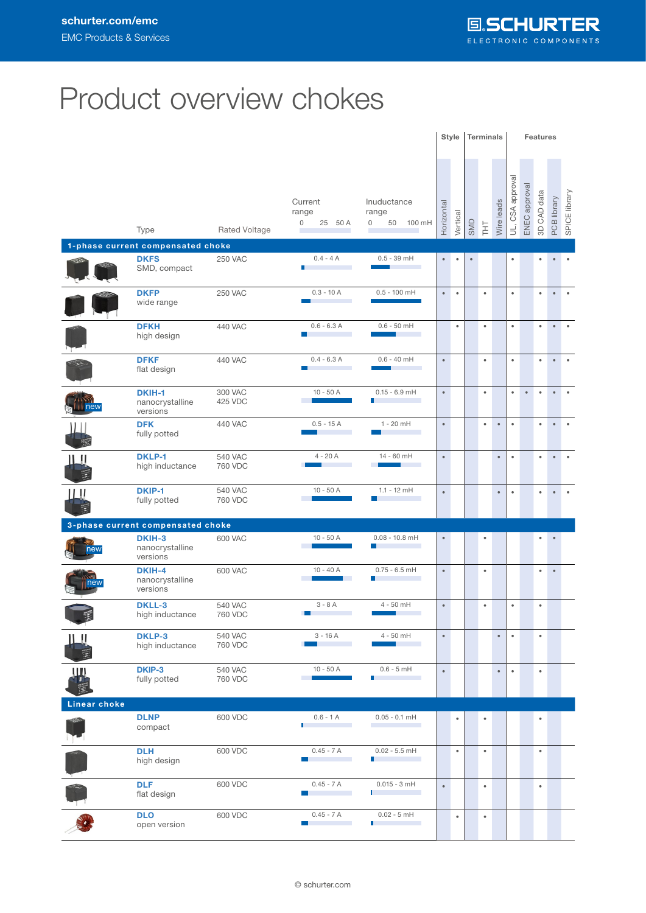## Product overview chokes

|              |                                           |                           |                                                              |                                                  |            | <b>Terminals</b><br>Style |           |           | <b>Features</b> |                  |               |             |             |               |  |
|--------------|-------------------------------------------|---------------------------|--------------------------------------------------------------|--------------------------------------------------|------------|---------------------------|-----------|-----------|-----------------|------------------|---------------|-------------|-------------|---------------|--|
|              | Type<br>1-phase current compensated choke | Rated Voltage             | Current<br>range<br>0<br>25 50 A                             | Inuductance<br>range<br>0<br>50<br>100 mH        | Horizontal | Vertical                  | SMD       | EH        | Wire leads      | UL, CSA approval | ENEC approval | 3D CAD data | PCB library | SPICE library |  |
|              | <b>DKFS</b>                               | <b>250 VAC</b>            | $0.4 - 4A$                                                   | $0.5 - 39$ mH                                    | $\bullet$  | $\bullet$                 | $\bullet$ |           |                 | $\bullet$        |               | ٠           | $\bullet$   | $\bullet$     |  |
|              | SMD, compact                              |                           | П                                                            |                                                  |            |                           |           |           |                 |                  |               |             |             |               |  |
|              | <b>DKFP</b><br>wide range                 | <b>250 VAC</b>            | $0.3 - 10 A$                                                 | $0.5 - 100$ mH                                   | $\bullet$  | $\bullet$                 |           | $\bullet$ |                 | $\bullet$        |               | $\bullet$   | $\bullet$   |               |  |
|              | <b>DFKH</b><br>high design                | 440 VAC                   | $0.6 - 6.3 A$<br><b>I</b>                                    | $0.6 - 50$ mH                                    |            | $\bullet$                 |           | $\bullet$ |                 | $\bullet$        |               | $\bullet$   | $\bullet$   |               |  |
|              | <b>DFKF</b><br>flat design                | 440 VAC                   | $0.4 - 6.3 A$<br>H<br>$\sim$                                 | $0.6 - 40$ mH                                    | $\bullet$  |                           |           | $\bullet$ |                 | $\bullet$        |               | $\bullet$   | $\bullet$   | $\bullet$     |  |
| $  $ new     | DKIH-1<br>nanocrystalline<br>versions     | 300 VAC<br>425 VDC        | $10 - 50A$                                                   | $0.15 - 6.9$ mH                                  | $\bullet$  |                           |           | $\bullet$ |                 | $\bullet$        | $\bullet$     | $\bullet$   | $\bullet$   | ٠             |  |
|              | <b>DFK</b><br>fully potted                | 440 VAC                   | $0.5 - 15A$                                                  | $1 - 20$ mH                                      | $\bullet$  |                           |           | $\bullet$ | $\bullet$       | $\bullet$        |               | $\bullet$   | $\bullet$   |               |  |
| 11. U        | <b>DKLP-1</b><br>high inductance          | <b>540 VAC</b><br>760 VDC | $4 - 20A$                                                    | 14 - 60 mH                                       | $\bullet$  |                           |           |           | $\bullet$       | $\bullet$        |               | $\bullet$   | $\bullet$   |               |  |
| ШI           | <b>DKIP-1</b><br>fully potted             | <b>540 VAC</b><br>760 VDC | $10 - 50A$<br><b>College</b>                                 | $1.1 - 12$ mH                                    | $\bullet$  |                           |           |           | $\bullet$       | $\bullet$        |               | $\bullet$   | $\bullet$   | $\bullet$     |  |
|              | 3-phase current compensated choke         |                           |                                                              |                                                  |            |                           |           |           |                 |                  |               |             |             |               |  |
| new          | DKIH-3<br>nanocrystalline<br>versions     | 600 VAC                   | $10 - 50A$                                                   | $0.08 - 10.8$ mH<br>l a l                        | $\bullet$  |                           |           | $\bullet$ |                 |                  |               | $\bullet$   | $\bullet$   |               |  |
| new          | DKIH-4<br>nanocrystalline<br>versions     | 600 VAC                   | $10 - 40 A$                                                  | $0.75 - 6.5$ mH<br>ш                             | $\bullet$  |                           |           | $\bullet$ |                 |                  |               | $\bullet$   | $\bullet$   |               |  |
| pa.          | <b>DKLL-3</b><br>high inductance          | <b>540 VAC</b><br>760 VDC | $3 - 8A$                                                     | $4 - 50$ mH                                      | $\bullet$  |                           |           | $\bullet$ |                 | $\bullet$        |               | $\bullet$   |             |               |  |
| ШU           | DKLP-3<br>high inductance                 | <b>540 VAC</b><br>760 VDC | $3 - 16A$<br>m.                                              | 4 - 50 mH                                        | $\bullet$  |                           |           |           | $\bullet$       | $\bullet$        |               | $\bullet$   |             |               |  |
| w            | DKIP-3<br>fully potted                    | <b>540 VAC</b><br>760 VDC | $10 - 50$ A                                                  | $0.6 - 5$ mH<br>Ш                                | $\bullet$  |                           |           |           | $\bullet$       | $\bullet$        |               | $\bullet$   |             |               |  |
| Linear choke |                                           |                           |                                                              |                                                  |            |                           |           |           |                 |                  |               |             |             |               |  |
|              | <b>DLNP</b><br>compact                    | 600 VDC                   | $0.6 - 1 A$<br>I.<br>$\sim 10^{11}$ m $^{-1}$                | $0.05 - 0.1$ mH<br>the control of the control of |            | $\bullet$                 |           | $\bullet$ |                 |                  |               | $\bullet$   |             |               |  |
|              | <b>DLH</b><br>high design                 | 600 VDC                   | $0.45 - 7 A$<br>n.<br>$\mathcal{O}(\mathcal{O}_\mathcal{O})$ | $0.02 - 5.5$ mH<br>П                             |            | $\bullet$                 |           | $\bullet$ |                 |                  |               | $\bullet$   |             |               |  |
|              | <b>DLF</b><br>flat design                 | 600 VDC                   | $0.45 - 7$ A<br>n.                                           | $0.015 - 3$ mH<br>П                              | $\bullet$  |                           |           | $\bullet$ |                 |                  |               | $\bullet$   |             |               |  |
|              | <b>DLO</b><br>open version                | 600 VDC                   | $0.45 - 7 A$<br><b>Tara</b>                                  | $0.02 - 5$ mH<br>П                               |            | $\bullet$                 |           | $\bullet$ |                 |                  |               |             |             |               |  |